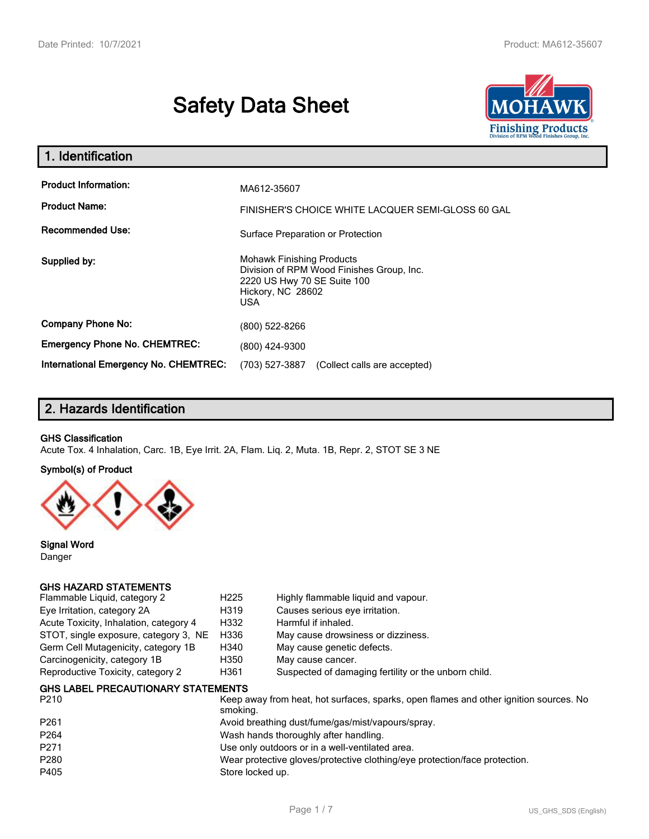# **Safety Data Sheet**



| . Identification                                    |                                                                                                                                                 |
|-----------------------------------------------------|-------------------------------------------------------------------------------------------------------------------------------------------------|
| <b>Product Information:</b><br><b>Product Name:</b> | MA612-35607<br>FINISHER'S CHOICE WHITE LACQUER SEMI-GLOSS 60 GAL                                                                                |
| <b>Recommended Use:</b>                             | Surface Preparation or Protection                                                                                                               |
| Supplied by:                                        | <b>Mohawk Finishing Products</b><br>Division of RPM Wood Finishes Group, Inc.<br>2220 US Hwy 70 SE Suite 100<br>Hickory, NC 28602<br><b>USA</b> |
| <b>Company Phone No:</b>                            | (800) 522-8266                                                                                                                                  |
| <b>Emergency Phone No. CHEMTREC:</b>                | (800) 424-9300                                                                                                                                  |
| <b>International Emergency No. CHEMTREC:</b>        | (703) 527-3887<br>(Collect calls are accepted)                                                                                                  |

# **2. Hazards Identification**

#### **GHS Classification**

Acute Tox. 4 Inhalation, Carc. 1B, Eye Irrit. 2A, Flam. Liq. 2, Muta. 1B, Repr. 2, STOT SE 3 NE

#### **Symbol(s) of Product**



**Signal Word** Danger

#### **GHS HAZARD STATEMENTS**

| Flammable Liquid, category 2           | H <sub>225</sub> | Highly flammable liquid and vapour.                  |
|----------------------------------------|------------------|------------------------------------------------------|
| Eye Irritation, category 2A            | H319             | Causes serious eye irritation.                       |
| Acute Toxicity, Inhalation, category 4 | H332             | Harmful if inhaled.                                  |
| STOT, single exposure, category 3, NE  | H336             | May cause drowsiness or dizziness.                   |
| Germ Cell Mutagenicity, category 1B    | H340             | May cause genetic defects.                           |
| Carcinogenicity, category 1B           | H350             | May cause cancer.                                    |
| Reproductive Toxicity, category 2      | H361             | Suspected of damaging fertility or the unborn child. |
|                                        |                  |                                                      |

#### **GHS LABEL PRECAUTIONARY STATEMENTS**

| P <sub>210</sub> | Keep away from heat, hot surfaces, sparks, open flames and other ignition sources. No<br>smoking. |
|------------------|---------------------------------------------------------------------------------------------------|
| P <sub>261</sub> | Avoid breathing dust/fume/gas/mist/vapours/spray.                                                 |
| P <sub>264</sub> | Wash hands thoroughly after handling.                                                             |
| P271             | Use only outdoors or in a well-ventilated area.                                                   |
| P280             | Wear protective gloves/protective clothing/eye protection/face protection.                        |
| P405             | Store locked up.                                                                                  |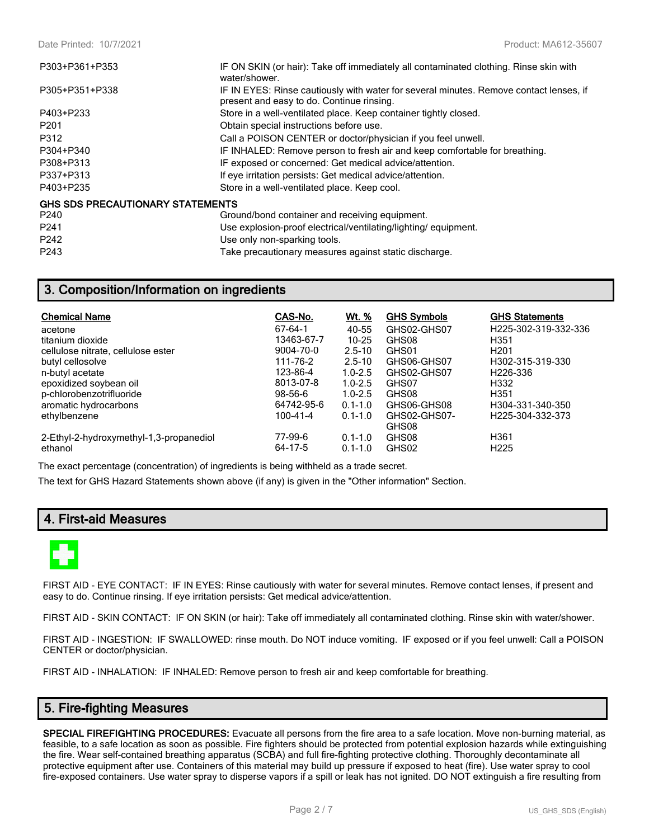| P303+P361+P353                          | IF ON SKIN (or hair): Take off immediately all contaminated clothing. Rinse skin with<br>water/shower.                              |
|-----------------------------------------|-------------------------------------------------------------------------------------------------------------------------------------|
| P305+P351+P338                          | IF IN EYES: Rinse cautiously with water for several minutes. Remove contact lenses, if<br>present and easy to do. Continue rinsing. |
| P403+P233                               | Store in a well-ventilated place. Keep container tightly closed.                                                                    |
| P <sub>201</sub>                        | Obtain special instructions before use.                                                                                             |
| P312                                    | Call a POISON CENTER or doctor/physician if you feel unwell.                                                                        |
| P304+P340                               | IF INHALED: Remove person to fresh air and keep comfortable for breathing.                                                          |
| P308+P313                               | IF exposed or concerned: Get medical advice/attention.                                                                              |
| P337+P313                               | If eye irritation persists: Get medical advice/attention.                                                                           |
| P403+P235                               | Store in a well-ventilated place. Keep cool.                                                                                        |
| <b>GHS SDS PRECAUTIONARY STATEMENTS</b> |                                                                                                                                     |
| P <sub>240</sub>                        | Ground/bond container and receiving equipment.                                                                                      |
| P <sub>241</sub>                        | Use explosion-proof electrical/ventilating/lighting/equipment.                                                                      |
| P242                                    | Use only non-sparking tools.                                                                                                        |
| P243                                    | Take precautionary measures against static discharge.                                                                               |

# **3. Composition/Information on ingredients**

| <b>Chemical Name</b>                    | CAS-No.       | <u>Wt. %</u> | <b>GHS Symbols</b> | <b>GHS Statements</b>         |
|-----------------------------------------|---------------|--------------|--------------------|-------------------------------|
| acetone                                 | 67-64-1       | 40-55        | GHS02-GHS07        | H225-302-319-332-336          |
| titanium dioxide                        | 13463-67-7    | $10 - 25$    | GHS08              | H351                          |
| cellulose nitrate, cellulose ester      | 9004-70-0     | $2.5 - 10$   | GHS01              | H <sub>201</sub>              |
| butyl cellosolve                        | 111-76-2      | $2.5 - 10$   | GHS06-GHS07        | H302-315-319-330              |
| n-butyl acetate                         | 123-86-4      | $1.0 - 2.5$  | GHS02-GHS07        | H <sub>226</sub> -336         |
| epoxidized soybean oil                  | 8013-07-8     | $1.0 - 2.5$  | GHS07              | H332                          |
| p-chlorobenzotrifluoride                | $98 - 56 - 6$ | $1.0 - 2.5$  | GHS08              | H <sub>351</sub>              |
| aromatic hydrocarbons                   | 64742-95-6    | $0.1 - 1.0$  | GHS06-GHS08        | H304-331-340-350              |
| ethylbenzene                            | 100-41-4      | $0.1 - 1.0$  | GHS02-GHS07-       | H <sub>225</sub> -304-332-373 |
|                                         |               |              | GHS08              |                               |
| 2-Ethyl-2-hydroxymethyl-1,3-propanediol | 77-99-6       | $0.1 - 1.0$  | GHS08              | H <sub>361</sub>              |
| ethanol                                 | 64-17-5       | $0.1 - 1.0$  | GHS02              | H <sub>225</sub>              |

The exact percentage (concentration) of ingredients is being withheld as a trade secret.

The text for GHS Hazard Statements shown above (if any) is given in the "Other information" Section.

## **4. First-aid Measures**



FIRST AID - EYE CONTACT: IF IN EYES: Rinse cautiously with water for several minutes. Remove contact lenses, if present and easy to do. Continue rinsing. If eye irritation persists: Get medical advice/attention.

FIRST AID - SKIN CONTACT: IF ON SKIN (or hair): Take off immediately all contaminated clothing. Rinse skin with water/shower.

FIRST AID - INGESTION: IF SWALLOWED: rinse mouth. Do NOT induce vomiting. IF exposed or if you feel unwell: Call a POISON CENTER or doctor/physician.

FIRST AID - INHALATION: IF INHALED: Remove person to fresh air and keep comfortable for breathing.

## **5. Fire-fighting Measures**

**SPECIAL FIREFIGHTING PROCEDURES:** Evacuate all persons from the fire area to a safe location. Move non-burning material, as feasible, to a safe location as soon as possible. Fire fighters should be protected from potential explosion hazards while extinguishing the fire. Wear self-contained breathing apparatus (SCBA) and full fire-fighting protective clothing. Thoroughly decontaminate all protective equipment after use. Containers of this material may build up pressure if exposed to heat (fire). Use water spray to cool fire-exposed containers. Use water spray to disperse vapors if a spill or leak has not ignited. DO NOT extinguish a fire resulting from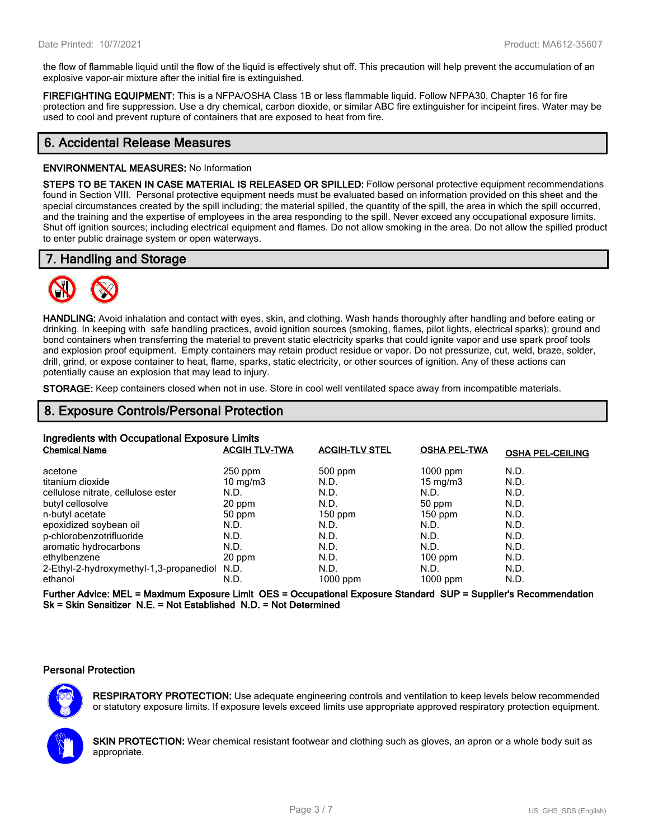the flow of flammable liquid until the flow of the liquid is effectively shut off. This precaution will help prevent the accumulation of an explosive vapor-air mixture after the initial fire is extinguished.

**FIREFIGHTING EQUIPMENT:** This is a NFPA/OSHA Class 1B or less flammable liquid. Follow NFPA30, Chapter 16 for fire protection and fire suppression. Use a dry chemical, carbon dioxide, or similar ABC fire extinguisher for incipeint fires. Water may be used to cool and prevent rupture of containers that are exposed to heat from fire.

## **6. Accidental Release Measures**

#### **ENVIRONMENTAL MEASURES:** No Information

**STEPS TO BE TAKEN IN CASE MATERIAL IS RELEASED OR SPILLED:** Follow personal protective equipment recommendations found in Section VIII. Personal protective equipment needs must be evaluated based on information provided on this sheet and the special circumstances created by the spill including; the material spilled, the quantity of the spill, the area in which the spill occurred, and the training and the expertise of employees in the area responding to the spill. Never exceed any occupational exposure limits. Shut off ignition sources; including electrical equipment and flames. Do not allow smoking in the area. Do not allow the spilled product to enter public drainage system or open waterways.

## **7. Handling and Storage**



**HANDLING:** Avoid inhalation and contact with eyes, skin, and clothing. Wash hands thoroughly after handling and before eating or drinking. In keeping with safe handling practices, avoid ignition sources (smoking, flames, pilot lights, electrical sparks); ground and bond containers when transferring the material to prevent static electricity sparks that could ignite vapor and use spark proof tools and explosion proof equipment. Empty containers may retain product residue or vapor. Do not pressurize, cut, weld, braze, solder, drill, grind, or expose container to heat, flame, sparks, static electricity, or other sources of ignition. Any of these actions can potentially cause an explosion that may lead to injury.

**STORAGE:** Keep containers closed when not in use. Store in cool well ventilated space away from incompatible materials.

## **8. Exposure Controls/Personal Protection**

| Ingredients with Occupational Exposure Limits |                      |                       |                     |                         |  |
|-----------------------------------------------|----------------------|-----------------------|---------------------|-------------------------|--|
| <b>Chemical Name</b>                          | <b>ACGIH TLV-TWA</b> | <b>ACGIH-TLV STEL</b> | <b>OSHA PEL-TWA</b> | <b>OSHA PEL-CEILING</b> |  |
| acetone                                       | $250$ ppm            | $500$ ppm             | $1000$ ppm          | N.D.                    |  |
| titanium dioxide                              | $10 \text{ mg/m}$    | N.D.                  | $15 \text{ mg/m}$   | N.D.                    |  |
| cellulose nitrate, cellulose ester            | N.D.                 | N.D.                  | N.D.                | N.D.                    |  |
| butyl cellosolve                              | 20 ppm               | N.D.                  | 50 ppm              | N.D.                    |  |
| n-butyl acetate                               | 50 ppm               | $150$ ppm             | $150$ ppm           | N.D.                    |  |
| epoxidized soybean oil                        | N.D.                 | N.D.                  | N.D.                | N.D.                    |  |
| p-chlorobenzotrifluoride                      | N.D.                 | N.D.                  | N.D.                | N.D.                    |  |
| aromatic hydrocarbons                         | N.D.                 | N.D.                  | N.D.                | N.D.                    |  |
| ethylbenzene                                  | 20 ppm               | N.D.                  | $100$ ppm           | N.D.                    |  |
| 2-Ethyl-2-hydroxymethyl-1,3-propanediol N.D.  |                      | N.D.                  | N.D.                | N.D.                    |  |
| ethanol                                       | N.D.                 | 1000 ppm              | $1000$ ppm          | N.D.                    |  |

**Further Advice: MEL = Maximum Exposure Limit OES = Occupational Exposure Standard SUP = Supplier's Recommendation Sk = Skin Sensitizer N.E. = Not Established N.D. = Not Determined**

#### **Personal Protection**



**RESPIRATORY PROTECTION:** Use adequate engineering controls and ventilation to keep levels below recommended or statutory exposure limits. If exposure levels exceed limits use appropriate approved respiratory protection equipment.

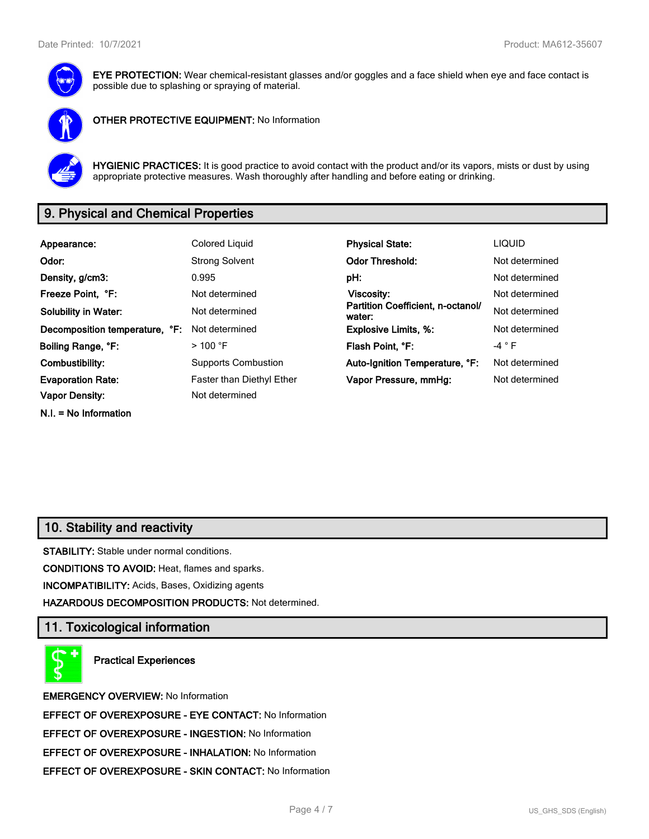

**EYE PROTECTION:** Wear chemical-resistant glasses and/or goggles and a face shield when eye and face contact is possible due to splashing or spraying of material.



**OTHER PROTECTIVE EQUIPMENT:** No Information



**HYGIENIC PRACTICES:** It is good practice to avoid contact with the product and/or its vapors, mists or dust by using appropriate protective measures. Wash thoroughly after handling and before eating or drinking.

# **9. Physical and Chemical Properties**

| Appearance:                    | Colored Liquid                   | <b>Physical State:</b>                      | <b>LIQUID</b>   |
|--------------------------------|----------------------------------|---------------------------------------------|-----------------|
| Odor:                          | <b>Strong Solvent</b>            | <b>Odor Threshold:</b>                      | Not determined  |
| Density, g/cm3:                | 0.995                            | pH:                                         | Not determined  |
| Freeze Point, °F:              | Not determined                   | Viscosity:                                  | Not determined  |
| <b>Solubility in Water:</b>    | Not determined                   | Partition Coefficient, n-octanol/<br>water: | Not determined  |
| Decomposition temperature, °F: | Not determined                   | <b>Explosive Limits, %:</b>                 | Not determined  |
| Boiling Range, °F:             | $>$ 100 °F                       | Flash Point, °F:                            | -4 $^{\circ}$ F |
| Combustibility:                | <b>Supports Combustion</b>       | Auto-Ignition Temperature, °F:              | Not determined  |
| <b>Evaporation Rate:</b>       | <b>Faster than Diethyl Ether</b> | Vapor Pressure, mmHg:                       | Not determined  |
| <b>Vapor Density:</b>          | Not determined                   |                                             |                 |
| $N.I. = No Information$        |                                  |                                             |                 |

## **10. Stability and reactivity**

**STABILITY:** Stable under normal conditions.

**CONDITIONS TO AVOID:** Heat, flames and sparks.

**INCOMPATIBILITY:** Acids, Bases, Oxidizing agents

**HAZARDOUS DECOMPOSITION PRODUCTS:** Not determined.

## **11. Toxicological information**

**Practical Experiences**

**EMERGENCY OVERVIEW:** No Information **EFFECT OF OVEREXPOSURE - EYE CONTACT:** No Information **EFFECT OF OVEREXPOSURE - INGESTION:** No Information **EFFECT OF OVEREXPOSURE - INHALATION:** No Information **EFFECT OF OVEREXPOSURE - SKIN CONTACT:** No Information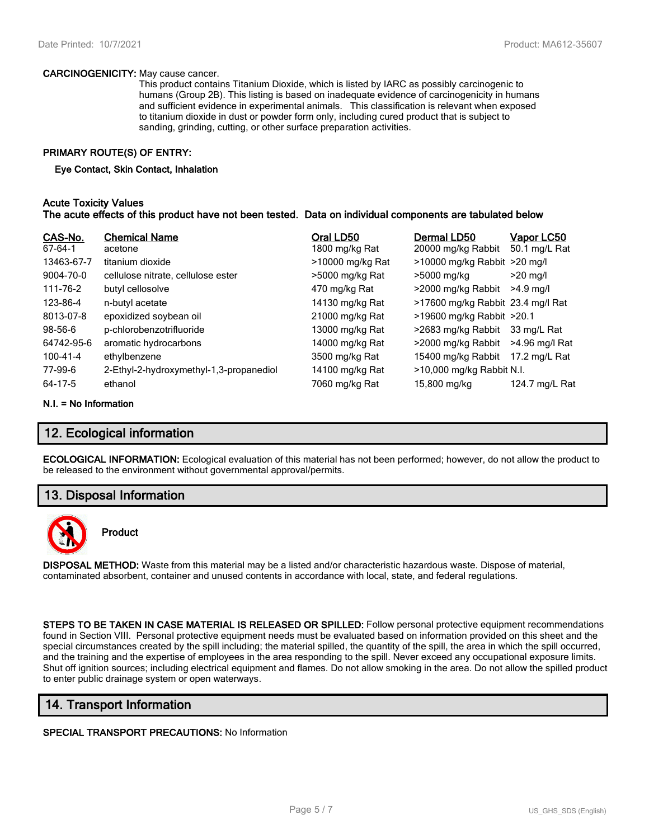#### **CARCINOGENICITY:** May cause cancer.

This product contains Titanium Dioxide, which is listed by IARC as possibly carcinogenic to humans (Group 2B). This listing is based on inadequate evidence of carcinogenicity in humans and sufficient evidence in experimental animals. This classification is relevant when exposed to titanium dioxide in dust or powder form only, including cured product that is subject to sanding, grinding, cutting, or other surface preparation activities.

#### **PRIMARY ROUTE(S) OF ENTRY:**

#### **Eye Contact, Skin Contact, Inhalation**

#### **Acute Toxicity Values The acute effects of this product have not been tested. Data on individual components are tabulated below**

| CAS-No.<br>67-64-1 | <b>Chemical Name</b><br>acetone         | Oral LD50<br>1800 mg/kg Rat | Dermal LD50<br>20000 mg/kg Rabbit | <u>Vapor LC50</u><br>50.1 mg/L Rat |
|--------------------|-----------------------------------------|-----------------------------|-----------------------------------|------------------------------------|
| 13463-67-7         | titanium dioxide                        | >10000 mg/kg Rat            | $>10000$ mg/kg Rabbit $>20$ mg/l  |                                    |
| 9004-70-0          | cellulose nitrate, cellulose ester      | >5000 mg/kg Rat             | >5000 mg/kg                       | $>20$ mg/l                         |
| 111-76-2           | butyl cellosolve                        | 470 mg/kg Rat               | >2000 mg/kg Rabbit                | $>4.9$ ma/l                        |
| 123-86-4           | n-butyl acetate                         | 14130 mg/kg Rat             | >17600 mg/kg Rabbit 23.4 mg/l Rat |                                    |
| 8013-07-8          | epoxidized soybean oil                  | 21000 mg/kg Rat             | >19600 mg/kg Rabbit >20.1         |                                    |
| $98 - 56 - 6$      | p-chlorobenzotrifluoride                | 13000 mg/kg Rat             | >2683 mg/kg Rabbit                | 33 mg/L Rat                        |
| 64742-95-6         | aromatic hydrocarbons                   | 14000 mg/kg Rat             | >2000 mg/kg Rabbit                | >4.96 mg/l Rat                     |
| 100-41-4           | ethylbenzene                            | 3500 mg/kg Rat              | 15400 mg/kg Rabbit                | 17.2 mg/L Rat                      |
| 77-99-6            | 2-Ethyl-2-hydroxymethyl-1,3-propanediol | 14100 mg/kg Rat             | >10,000 mg/kg Rabbit N.I.         |                                    |
| 64-17-5            | ethanol                                 | 7060 mg/kg Rat              | 15,800 mg/kg                      | 124.7 mg/L Rat                     |

#### **N.I. = No Information**

## **12. Ecological information**

**ECOLOGICAL INFORMATION:** Ecological evaluation of this material has not been performed; however, do not allow the product to be released to the environment without governmental approval/permits.

## **13. Disposal Information**



## **Product**

**DISPOSAL METHOD:** Waste from this material may be a listed and/or characteristic hazardous waste. Dispose of material, contaminated absorbent, container and unused contents in accordance with local, state, and federal regulations.

**STEPS TO BE TAKEN IN CASE MATERIAL IS RELEASED OR SPILLED:** Follow personal protective equipment recommendations found in Section VIII. Personal protective equipment needs must be evaluated based on information provided on this sheet and the special circumstances created by the spill including; the material spilled, the quantity of the spill, the area in which the spill occurred, and the training and the expertise of employees in the area responding to the spill. Never exceed any occupational exposure limits. Shut off ignition sources; including electrical equipment and flames. Do not allow smoking in the area. Do not allow the spilled product to enter public drainage system or open waterways.

## **14. Transport Information**

#### **SPECIAL TRANSPORT PRECAUTIONS:** No Information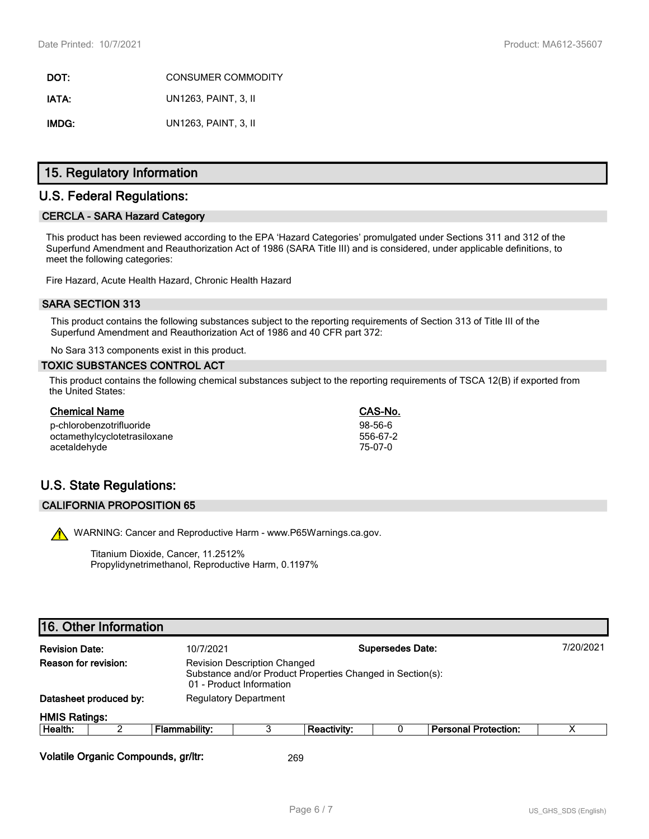**DOT:** CONSUMER COMMODITY **IATA:** UN1263, PAINT, 3, II **IMDG:** UN1263, PAINT, 3, II

## **15. Regulatory Information**

## **U.S. Federal Regulations:**

#### **CERCLA - SARA Hazard Category**

This product has been reviewed according to the EPA 'Hazard Categories' promulgated under Sections 311 and 312 of the Superfund Amendment and Reauthorization Act of 1986 (SARA Title III) and is considered, under applicable definitions, to meet the following categories:

Fire Hazard, Acute Health Hazard, Chronic Health Hazard

#### **SARA SECTION 313**

This product contains the following substances subject to the reporting requirements of Section 313 of Title III of the Superfund Amendment and Reauthorization Act of 1986 and 40 CFR part 372:

No Sara 313 components exist in this product.

#### **TOXIC SUBSTANCES CONTROL ACT**

This product contains the following chemical substances subject to the reporting requirements of TSCA 12(B) if exported from the United States:

| <b>Chemical Name</b>         | CAS-No.   |
|------------------------------|-----------|
| p-chlorobenzotrifluoride     | $98-56-6$ |
| octamethylcyclotetrasiloxane | 556-67-2  |
| acetaldehyde                 | 75-07-0   |

# **U.S. State Regulations:**

#### **CALIFORNIA PROPOSITION 65**

WARNING: Cancer and Reproductive Harm - www.P65Warnings.ca.gov.

Titanium Dioxide, Cancer, 11.2512% Propylidynetrimethanol, Reproductive Harm, 0.1197%

# **16. Other Information**

| <b>Revision Date:</b> |                        | <b>Supersedes Date:</b><br>10/7/2021 |                                                                                                                               |             |  |                             | 7/20/2021 |
|-----------------------|------------------------|--------------------------------------|-------------------------------------------------------------------------------------------------------------------------------|-------------|--|-----------------------------|-----------|
| Reason for revision:  |                        |                                      | <b>Revision Description Changed</b><br>Substance and/or Product Properties Changed in Section(s):<br>01 - Product Information |             |  |                             |           |
|                       | Datasheet produced by: | <b>Regulatory Department</b>         |                                                                                                                               |             |  |                             |           |
| <b>HMIS Ratings:</b>  |                        |                                      |                                                                                                                               |             |  |                             |           |
| Health:               |                        | Flammability:                        |                                                                                                                               | Reactivity: |  | <b>Personal Protection:</b> | x         |
|                       |                        |                                      |                                                                                                                               |             |  |                             |           |

**Volatile Organic Compounds, gr/ltr:** 269